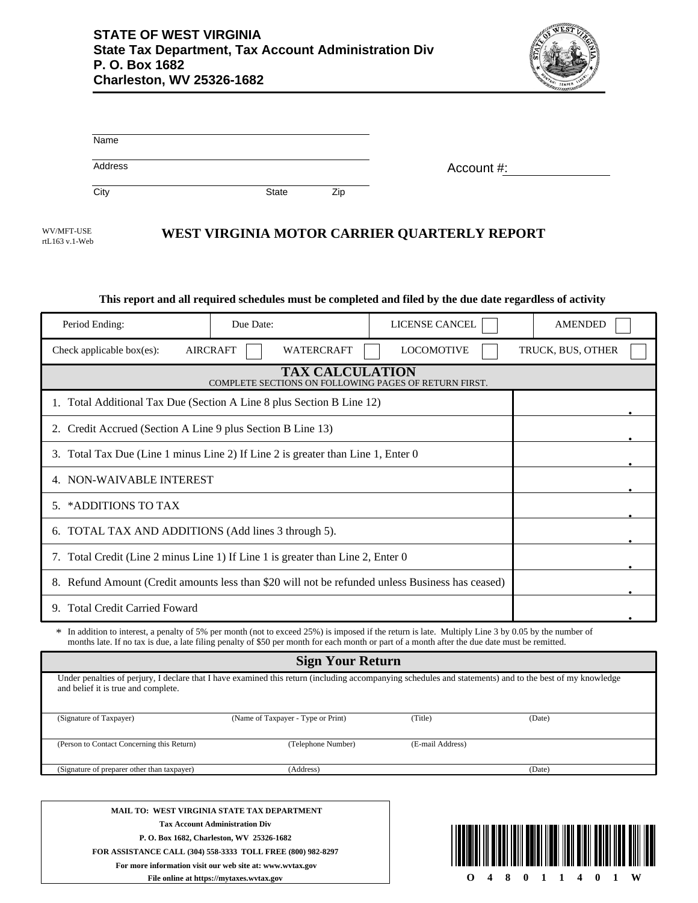

| Name    |       |     |            |
|---------|-------|-----|------------|
| Address |       |     | Account #: |
| City    | State | Zip |            |

| WV/MFT-USE     |  |
|----------------|--|
| rtL163 v.1-Web |  |

## **WEST VIRGINIA MOTOR CARRIER QUARTERLY REPORT**

#### **This report and all required schedules must be completed and filed by the due date regardless of activity**

| Period Ending:                                                                                   | Due Date:                                                                     | LICENSE CANCEL                                                                                                                                                                                                                                                                                       | <b>AMENDED</b>    |  |  |
|--------------------------------------------------------------------------------------------------|-------------------------------------------------------------------------------|------------------------------------------------------------------------------------------------------------------------------------------------------------------------------------------------------------------------------------------------------------------------------------------------------|-------------------|--|--|
| Check applicable box(es):                                                                        | <b>AIRCRAFT</b><br><b>WATERCRAFT</b>                                          | <b>LOCOMOTIVE</b>                                                                                                                                                                                                                                                                                    | TRUCK, BUS, OTHER |  |  |
| <b>TAX CALCULATION</b><br>COMPLETE SECTIONS ON FOLLOWING PAGES OF RETURN FIRST.                  |                                                                               |                                                                                                                                                                                                                                                                                                      |                   |  |  |
|                                                                                                  | Total Additional Tax Due (Section A Line 8 plus Section B Line 12)            |                                                                                                                                                                                                                                                                                                      |                   |  |  |
| Credit Accrued (Section A Line 9 plus Section B Line 13)<br>2.                                   |                                                                               |                                                                                                                                                                                                                                                                                                      |                   |  |  |
| 3.                                                                                               | Total Tax Due (Line 1 minus Line 2) If Line 2 is greater than Line 1, Enter 0 |                                                                                                                                                                                                                                                                                                      |                   |  |  |
| 4. NON-WAIVABLE INTEREST                                                                         |                                                                               |                                                                                                                                                                                                                                                                                                      |                   |  |  |
| *ADDITIONS TO TAX<br>.5.                                                                         |                                                                               |                                                                                                                                                                                                                                                                                                      |                   |  |  |
| 6. TOTAL TAX AND ADDITIONS (Add lines 3 through 5).                                              |                                                                               |                                                                                                                                                                                                                                                                                                      |                   |  |  |
| 7. Total Credit (Line 2 minus Line 1) If Line 1 is greater than Line 2, Enter 0                  |                                                                               |                                                                                                                                                                                                                                                                                                      |                   |  |  |
| 8. Refund Amount (Credit amounts less than \$20 will not be refunded unless Business has ceased) |                                                                               |                                                                                                                                                                                                                                                                                                      |                   |  |  |
| <b>Total Credit Carried Foward</b><br>9.                                                         |                                                                               |                                                                                                                                                                                                                                                                                                      |                   |  |  |
|                                                                                                  |                                                                               | * In addition to interest, a penalty of 5% per month (not to exceed 25%) is imposed if the return is late. Multiply Line 3 by 0.05 by the number of<br>months late. If no tax is due, a late filing penalty of \$50 per month for each month or part of a month after the due date must be remitted. |                   |  |  |

| <b>Sign Your Return</b>                     |                                                                                                                                                          |                  |        |  |  |
|---------------------------------------------|----------------------------------------------------------------------------------------------------------------------------------------------------------|------------------|--------|--|--|
| and belief it is true and complete.         | Under penalties of perjury, I declare that I have examined this return (including accompanying schedules and statements) and to the best of my knowledge |                  |        |  |  |
| (Signature of Taxpayer)                     | (Name of Taxpayer - Type or Print)                                                                                                                       | (Title)          | (Date) |  |  |
|                                             |                                                                                                                                                          |                  |        |  |  |
| (Person to Contact Concerning this Return)  | (Telephone Number)                                                                                                                                       | (E-mail Address) |        |  |  |
| (Signature of preparer other than taxpayer) | (Address)                                                                                                                                                |                  | (Date) |  |  |
|                                             |                                                                                                                                                          |                  |        |  |  |
| MAIL TO: WEST VIRGINIA STATE TAX DEPARTMENT |                                                                                                                                                          |                  |        |  |  |

**Tax Account Administration Div P. O. Box 1682, Charleston, WV 25326-1682 FOR ASSISTANCE CALL (304) 558-3333 TOLL FREE (800) 982-8297 For more information visit our web site at: www.wvtax.gov**

**File online at https://mytaxes.wvtax.gov**